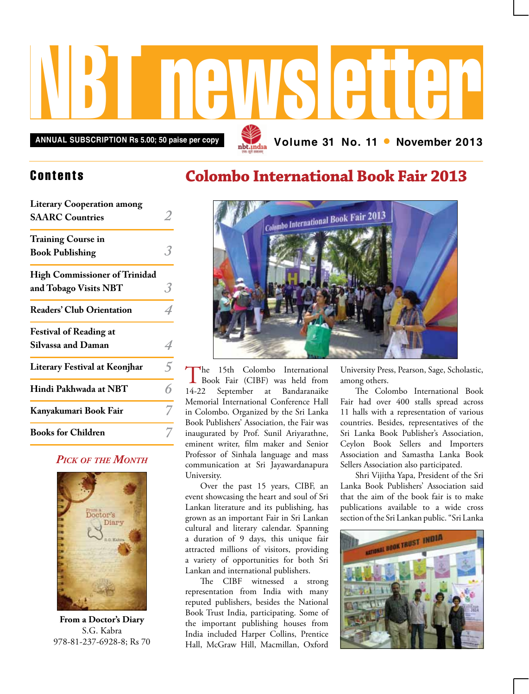

### **Contents**

| <b>Literary Cooperation among</b><br><b>SAARC Countries</b>   |                |
|---------------------------------------------------------------|----------------|
| <b>Training Course in</b><br><b>Book Publishing</b>           |                |
| <b>High Commissioner of Trinidad</b><br>and Tobago Visits NBT | 3              |
| <b>Readers' Club Orientation</b>                              |                |
| <b>Festival of Reading at</b><br><b>Silvassa and Daman</b>    | 4              |
| <b>Literary Festival at Keonjhar</b>                          | $\overline{5}$ |
| Hindi Pakhwada at NBT                                         | 6              |
| Kanyakumari Book Fair                                         |                |
| <b>Books for Children</b>                                     |                |

#### *Pick of the Month*



**From a Doctor's Diary** S.G. Kabra 978-81-237-6928-8; Rs 70

## **Colombo International Book Fair 2013**



The 15th Colombo International<br>Book Fair (CIBF) was held from 14-22 September at Bandaranaike Memorial International Conference Hall in Colombo. Organized by the Sri Lanka Book Publishers' Association, the Fair was inaugurated by Prof. Sunil Ariyarathne, eminent writer, film maker and Senior Professor of Sinhala language and mass communication at Sri Jayawardanapura University.

Over the past 15 years, CIBF, an event showcasing the heart and soul of Sri Lankan literature and its publishing, has grown as an important Fair in Sri Lankan cultural and literary calendar. Spanning a duration of 9 days, this unique fair attracted millions of visitors, providing a variety of opportunities for both Sri Lankan and international publishers.

The CIBF witnessed a strong representation from India with many reputed publishers, besides the National Book Trust India, participating. Some of the important publishing houses from India included Harper Collins, Prentice Hall, McGraw Hill, Macmillan, Oxford

University Press, Pearson, Sage, Scholastic, among others.

The Colombo International Book Fair had over 400 stalls spread across 11 halls with a representation of various countries. Besides, representatives of the Sri Lanka Book Publisher's Association, Ceylon Book Sellers and Importers Association and Samastha Lanka Book Sellers Association also participated.

Shri Vijitha Yapa, President of the Sri Lanka Book Publishers' Association said that the aim of the book fair is to make publications available to a wide cross section of the Sri Lankan public. "Sri Lanka

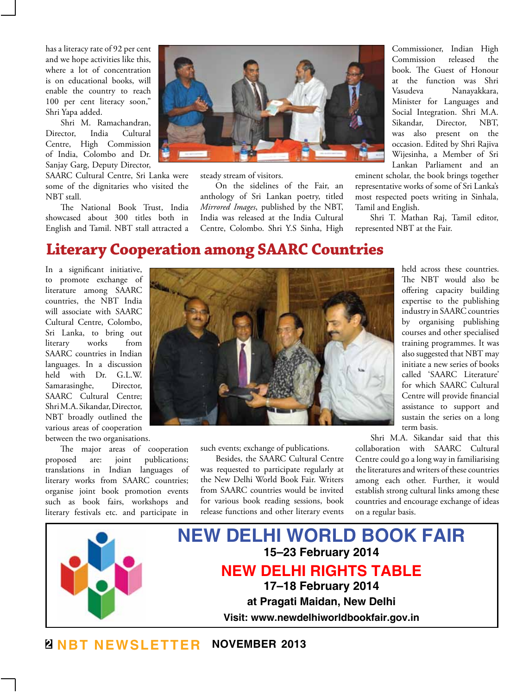has a literacy rate of 92 per cent and we hope activities like this, where a lot of concentration is on educational books, will enable the country to reach 100 per cent literacy soon," Shri Yapa added.

Shri M. Ramachandran, Director, India Cultural Centre, High Commission of India, Colombo and Dr. Sanjay Garg, Deputy Director,

SAARC Cultural Centre, Sri Lanka were some of the dignitaries who visited the NBT stall.

The National Book Trust, India showcased about 300 titles both in English and Tamil. NBT stall attracted a



steady stream of visitors.

On the sidelines of the Fair, an anthology of Sri Lankan poetry, titled *Mirrored Images*, published by the NBT, India was released at the India Cultural Centre, Colombo. Shri Y.S Sinha, High

Commissioner, Indian High Commission released the book. The Guest of Honour at the function was Shri Vasudeva Nanayakkara, Minister for Languages and Social Integration. Shri M.A. Sikandar, Director, NBT, was also present on the occasion. Edited by Shri Rajiva Wijesinha, a Member of Sri Lankan Parliament and an

eminent scholar, the book brings together representative works of some of Sri Lanka's most respected poets writing in Sinhala, Tamil and English.

Shri T. Mathan Raj, Tamil editor, represented NBT at the Fair.

### **Literary Cooperation among SAARC Countries**

In a significant initiative, to promote exchange of literature among SAARC countries, the NBT India will associate with SAARC Cultural Centre, Colombo, Sri Lanka, to bring out literary works from SAARC countries in Indian languages. In a discussion held with Dr. G.L.W. Samarasinghe, Director, SAARC Cultural Centre; Shri M.A. Sikandar, Director, NBT broadly outlined the various areas of cooperation between the two organisations.

The major areas of cooperation proposed are: joint publications; translations in Indian languages of literary works from SAARC countries; organise joint book promotion events such as book fairs, workshops and literary festivals etc. and participate in



such events; exchange of publications.

Besides, the SAARC Cultural Centre was requested to participate regularly at the New Delhi World Book Fair. Writers from SAARC countries would be invited for various book reading sessions, book release functions and other literary events held across these countries. The NBT would also be offering capacity building expertise to the publishing industry in SAARC countries by organising publishing courses and other specialised training programmes. It was also suggested that NBT may initiate a new series of books called 'SAARC Literature' for which SAARC Cultural Centre will provide financial assistance to support and sustain the series on a long term basis.

Shri M.A. Sikandar said that this collaboration with SAARC Cultural Centre could go a long way in familiarising the literatures and writers of these countries among each other. Further, it would establish strong cultural links among these countries and encourage exchange of ideas on a regular basis.



**2 NBT Newsletter november 2013**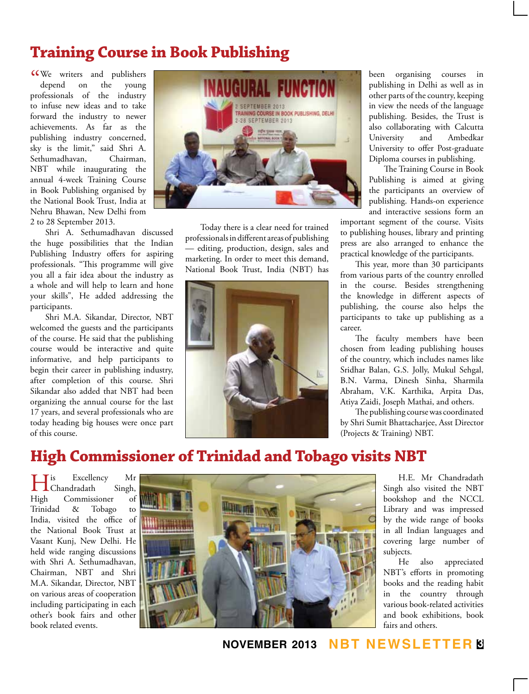# **Training Course in Book Publishing**

KWe writers and publishers<br>
depend on the young depend on the young professionals of the industry to infuse new ideas and to take forward the industry to newer achievements. As far as the publishing industry concerned, sky is the limit," said Shri A. Sethumadhavan, Chairman, NBT while inaugurating the annual 4-week Training Course in Book Publishing organised by the National Book Trust, India at Nehru Bhawan, New Delhi from 2 to 28 September 2013.

Shri A. Sethumadhavan discussed the huge possibilities that the Indian Publishing Industry offers for aspiring professionals. "This programme will give you all a fair idea about the industry as a whole and will help to learn and hone your skills", He added addressing the participants.

Shri M.A. Sikandar, Director, NBT welcomed the guests and the participants of the course. He said that the publishing course would be interactive and quite informative, and help participants to begin their career in publishing industry, after completion of this course. Shri Sikandar also added that NBT had been organizing the annual course for the last 17 years, and several professionals who are today heading big houses were once part of this course.



Today there is a clear need for trained professionals in different areas of publishing — editing, production, design, sales and marketing. In order to meet this demand, National Book Trust, India (NBT) has



been organising courses in publishing in Delhi as well as in other parts of the country, keeping in view the needs of the language publishing. Besides, the Trust is also collaborating with Calcutta University and Ambedkar University to offer Post-graduate Diploma courses in publishing.

The Training Course in Book Publishing is aimed at giving the participants an overview of publishing. Hands-on experience and interactive sessions form an

important segment of the course. Visits to publishing houses, library and printing press are also arranged to enhance the practical knowledge of the participants.

This year, more than 30 participants from various parts of the country enrolled in the course. Besides strengthening the knowledge in different aspects of publishing, the course also helps the participants to take up publishing as a career.

The faculty members have been chosen from leading publishing houses of the country, which includes names like Sridhar Balan, G.S. Jolly, Mukul Sehgal, B.N. Varma, Dinesh Sinha, Sharmila Abraham, V.K. Karthika, Arpita Das, Atiya Zaidi, Joseph Mathai, and others.

The publishing course was coordinated by Shri Sumit Bhattacharjee, Asst Director (Projects & Training) NBT.

# **High Commissioner of Trinidad and Tobago visits NBT**

His Excellency Mr Chandradath Singh, High Commissioner of Trinidad & Tobago to India, visited the office of the National Book Trust at Vasant Kunj, New Delhi. He held wide ranging discussions with Shri A. Sethumadhavan, Chairman, NBT and Shri M.A. Sikandar, Director, NBT on various areas of cooperation including participating in each other's book fairs and other book related events.



H.E. Mr Chandradath Singh also visited the NBT bookshop and the NCCL Library and was impressed by the wide range of books in all Indian languages and covering large number of subjects.

He also appreciated NBT's efforts in promoting books and the reading habit in the country through various book-related activities and book exhibitions, book fairs and others.

**november 2013 NBT Newsletter 3**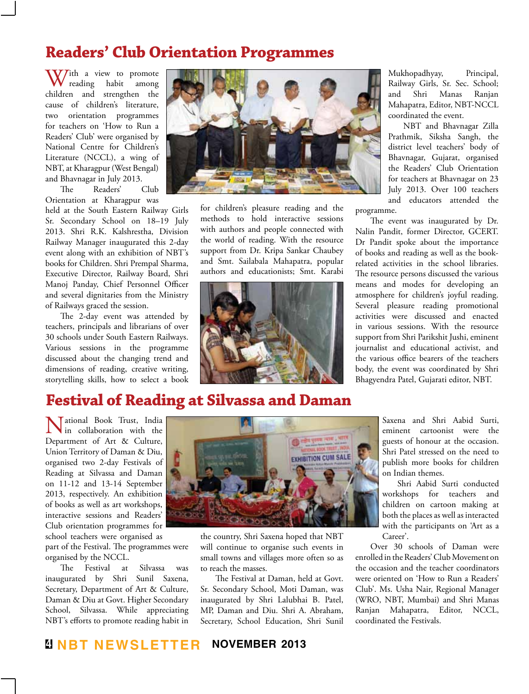### **Readers' Club Orientation Programmes**

W/ith a view to promote reading habit among children and strengthen the cause of children's literature, two orientation programmes for teachers on 'How to Run a Readers' Club' were organised by National Centre for Children's Literature (NCCL), a wing of NBT, at Kharagpur (West Bengal) and Bhavnagar in July 2013.

The Readers' Club Orientation at Kharagpur was

held at the South Eastern Railway Girls Sr. Secondary School on 18–19 July 2013. Shri R.K. Kalshrestha, Division Railway Manager inaugurated this 2-day event along with an exhibition of NBT's books for Children. Shri Prempal Sharma, Executive Director, Railway Board, Shri Manoj Panday, Chief Personnel Officer and several dignitaries from the Ministry of Railways graced the session.

The 2-day event was attended by teachers, principals and librarians of over 30 schools under South Eastern Railways. Various sessions in the programme discussed about the changing trend and dimensions of reading, creative writing, storytelling skills, how to select a book



for children's pleasure reading and the methods to hold interactive sessions with authors and people connected with the world of reading. With the resource support from Dr. Kripa Sankar Chaubey and Smt. Sailabala Mahapatra, popular authors and educationists; Smt. Karabi



Mukhopadhyay, Principal, Railway Girls, Sr. Sec. School; and Shri Manas Ranjan Mahapatra, Editor, NBT-NCCL coordinated the event.

NBT and Bhavnagar Zilla Prathmik, Siksha Sangh, the district level teachers' body of Bhavnagar, Gujarat, organised the Readers' Club Orientation for teachers at Bhavnagar on 23 July 2013. Over 100 teachers and educators attended the

programme.

The event was inaugurated by Dr. Nalin Pandit, former Director, GCERT. Dr Pandit spoke about the importance of books and reading as well as the bookrelated activities in the school libraries. The resource persons discussed the various means and modes for developing an atmosphere for children's joyful reading. Several pleasure reading promotional activities were discussed and enacted in various sessions. With the resource support from Shri Parikshit Jushi, eminent journalist and educational activist, and the various office bearers of the teachers body, the event was coordinated by Shri Bhagyendra Patel, Gujarati editor, NBT.

## **Festival of Reading at Silvassa and Daman**

Mational Book Trust, India<br>in collaboration with the Department of Art & Culture, Union Territory of Daman & Diu, organised two 2-day Festivals of Reading at Silvassa and Daman on 11-12 and 13-14 September 2013, respectively. An exhibition of books as well as art workshops, interactive sessions and Readers' Club orientation programmes for school teachers were organised as

part of the Festival. The programmes were organised by the NCCL.

The Festival at Silvassa was inaugurated by Shri Sunil Saxena, Secretary, Department of Art & Culture, Daman & Diu at Govt. Higher Secondary School, Silvassa. While appreciating NBT's efforts to promote reading habit in



the country, Shri Saxena hoped that NBT will continue to organise such events in small towns and villages more often so as to reach the masses.

The Festival at Daman, held at Govt. Sr. Secondary School, Moti Daman, was inaugurated by Shri Lalubhai B. Patel, MP, Daman and Diu. Shri A. Abraham, Secretary, School Education, Shri Sunil Saxena and Shri Aabid Surti, eminent cartoonist were the guests of honour at the occasion. Shri Patel stressed on the need to publish more books for children on Indian themes.

Shri Aabid Surti conducted workshops for teachers and children on cartoon making at both the places as well as interacted with the participants on 'Art as a Career'.

Over 30 schools of Daman were enrolled in the Readers' Club Movement on the occasion and the teacher coordinators were oriented on 'How to Run a Readers' Club'. Ms. Usha Nair, Regional Manager (WRO, NBT, Mumbai) and Shri Manas Ranjan Mahapatra, Editor, NCCL, coordinated the Festivals.

### **4 NBT Newsletter november 2013**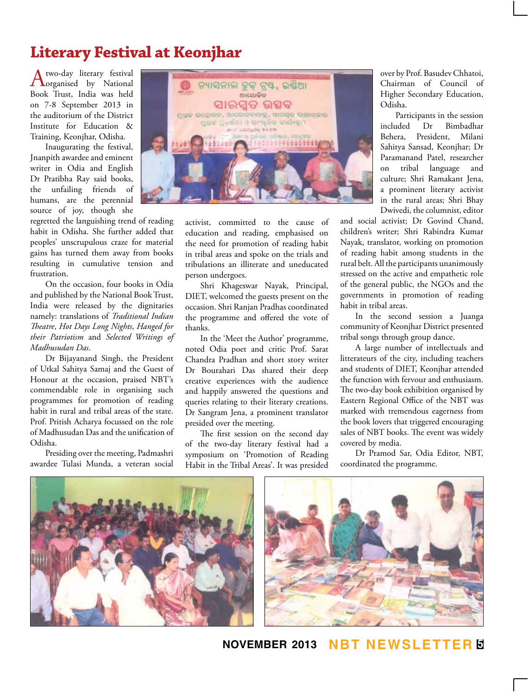## **Literary Festival at Keonjhar**

A two-day literary festival<br>
organised by National Book Trust, India was held on 7-8 September 2013 in the auditorium of the District Institute for Education & Training, Keonjhar, Odisha.

Inaugurating the festival, Jnanpith awardee and eminent writer in Odia and English Dr Pratibha Ray said books, the unfailing friends of humans, are the perennial source of joy, though she

regretted the languishing trend of reading habit in Odisha. She further added that peoples' unscrupulous craze for material gains has turned them away from books resulting in cumulative tension and frustration.

On the occasion, four books in Odia and published by the National Book Trust, India were released by the dignitaries namely: translations of *Traditional Indian Theatre*, *Hot Days Long Nights*, *Hanged for their Patriotism* and *Selected Writings of Madhusudan Das*.

Dr Bijayanand Singh, the President of Utkal Sahitya Samaj and the Guest of Honour at the occasion, praised NBT's commendable role in organising such programmes for promotion of reading habit in rural and tribal areas of the state. Prof. Pritish Acharya focussed on the role of Madhusudan Das and the unification of Odisha.

Presiding over the meeting, Padmashri awardee Tulasi Munda, a veteran social



activist, committed to the cause of education and reading, emphasised on the need for promotion of reading habit in tribal areas and spoke on the trials and tribulations an illiterate and uneducated person undergoes.

Shri Khageswar Nayak, Principal, DIET, welcomed the guests present on the occasion. Shri Ranjan Pradhas coordinated the programme and offered the vote of thanks.

In the 'Meet the Author' programme, noted Odia poet and critic Prof. Sarat Chandra Pradhan and short story writer Dr Bourahari Das shared their deep creative experiences with the audience and happily answered the questions and queries relating to their literary creations. Dr Sangram Jena, a prominent translator presided over the meeting.

The first session on the second day of the two-day literary festival had a symposium on 'Promotion of Reading Habit in the Tribal Areas'. It was presided

over by Prof. Basudev Chhatoi, Chairman of Council of Higher Secondary Education, Odisha.

Participants in the session included Dr Bimbadhar Behera, President, Milani Sahitya Sansad, Keonjhar; Dr Paramanand Patel, researcher on tribal language and culture; Shri Ramakant Jena, a prominent literary activist in the rural areas; Shri Bhay Dwivedi, the columnist, editor

and social activist; Dr Govind Chand, children's writer; Shri Rabindra Kumar Nayak, translator, working on promotion of reading habit among students in the rural belt. All the participants unanimously stressed on the active and empathetic role of the general public, the NGOs and the governments in promotion of reading habit in tribal areas.

In the second session a Juanga community of Keonjhar District presented tribal songs through group dance.

A large number of intellectuals and litterateurs of the city, including teachers and students of DIET, Keonjhar attended the function with fervour and enthusiasm. The two-day book exhibition organised by Eastern Regional Office of the NBT was marked with tremendous eagerness from the book lovers that triggered encouraging sales of NBT books. The event was widely covered by media.

Dr Pramod Sar, Odia Editor, NBT, coordinated the programme.



**november 2013 NBT Newsletter 5**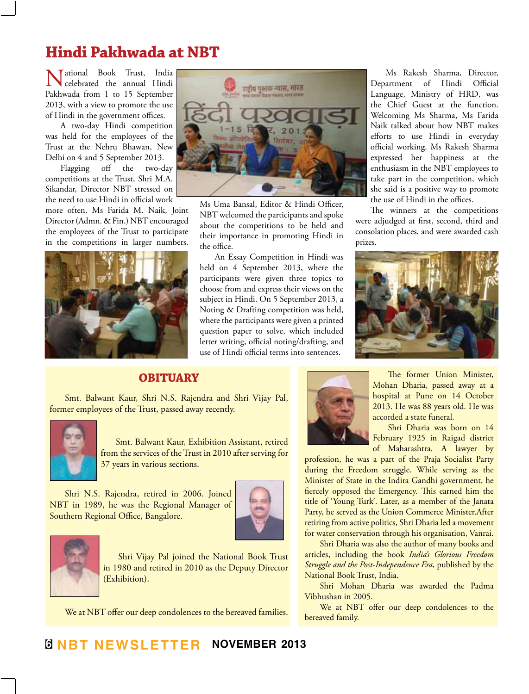# **Hindi Pakhwada at NBT**

Tational Book Trust, India celebrated the annual Hindi Pakhwada from 1 to 15 September 2013, with a view to promote the use of Hindi in the government offices.

A two-day Hindi competition was held for the employees of the Trust at the Nehru Bhawan, New Delhi on 4 and 5 September 2013.

Flagging off the two-day competitions at the Trust, Shri M.A. Sikandar, Director NBT stressed on the need to use Hindi in official work

more often. Ms Farida M. Naik, Joint Director (Admn. & Fin.) NBT encouraged the employees of the Trust to participate in the competitions in larger numbers.





Ms Uma Bansal, Editor & Hindi Officer, NBT welcomed the participants and spoke about the competitions to be held and their importance in promoting Hindi in the office.

An Essay Competition in Hindi was held on 4 September 2013, where the participants were given three topics to choose from and express their views on the subject in Hindi. On 5 September 2013, a Noting & Drafting competition was held, where the participants were given a printed question paper to solve, which included letter writing, official noting/drafting, and use of Hindi official terms into sentences.

Ms Rakesh Sharma, Director, Department of Hindi Official Language, Ministry of HRD, was the Chief Guest at the function. Welcoming Ms Sharma, Ms Farida Naik talked about how NBT makes efforts to use Hindi in everyday official working. Ms Rakesh Sharma expressed her happiness at the enthusiasm in the NBT employees to take part in the competition, which she said is a positive way to promote the use of Hindi in the offices.

The winners at the competitions were adjudged at first, second, third and consolation places, and were awarded cash prizes.



#### **Obituary**

Smt. Balwant Kaur, Shri N.S. Rajendra and Shri Vijay Pal, former employees of the Trust, passed away recently.



Smt. Balwant Kaur, Exhibition Assistant, retired from the services of the Trust in 2010 after serving for 37 years in various sections.

Shri N.S. Rajendra, retired in 2006. Joined NBT in 1989, he was the Regional Manager of Southern Regional Office, Bangalore.





Shri Vijay Pal joined the National Book Trust in 1980 and retired in 2010 as the Deputy Director (Exhibition).

We at NBT offer our deep condolences to the bereaved families.



The former Union Minister, Mohan Dharia, passed away at a hospital at Pune on 14 October 2013. He was 88 years old. He was accorded a state funeral.

Shri Dharia was born on 14 February 1925 in Raigad district of Maharashtra. A lawyer by

profession, he was a part of the Praja Socialist Party during the Freedom struggle. While serving as the Minister of State in the Indira Gandhi government, he fiercely opposed the Emergency. This earned him the title of 'Young Turk'. Later, as a member of the Janata Party, he served as the Union Commerce Minister.After retiring from active politics, Shri Dharia led a movement for water conservation through his organisation, Vanrai.

Shri Dharia was also the author of many books and articles, including the book *India's Glorious Freedom Struggle and the Post-Independence Era*, published by the National Book Trust, India.

Shri Mohan Dharia was awarded the Padma Vibhushan in 2005.

We at NBT offer our deep condolences to the bereaved family.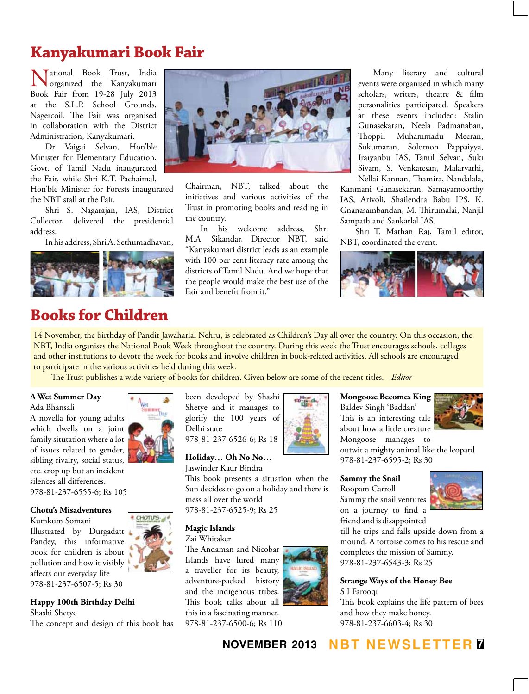# **Kanyakumari Book Fair**

Tational Book Trust, India organized the Kanyakumari Book Fair from 19-28 July 2013 at the S.L.P. School Grounds, Nagercoil. The Fair was organised in collaboration with the District Administration, Kanyakumari.

Dr Vaigai Selvan, Hon'ble Minister for Elementary Education, Govt. of Tamil Nadu inaugurated the Fair, while Shri K.T. Pachaimal,

Hon'ble Minister for Forests inaugurated the NBT stall at the Fair.

Shri S. Nagarajan, IAS, District Collector, delivered the presidential address.

In his address, Shri A. Sethumadhavan,



### **Books for Children**



Chairman, NBT, talked about the initiatives and various activities of the Trust in promoting books and reading in the country.

In his welcome address, Shri M.A. Sikandar, Director NBT, said "Kanyakumari district leads as an example with 100 per cent literacy rate among the districts of Tamil Nadu. And we hope that the people would make the best use of the Fair and benefit from it."

Many literary and cultural events were organised in which many scholars, writers, theatre & film personalities participated. Speakers at these events included: Stalin Gunasekaran, Neela Padmanaban, Thoppil Muhammadu Meeran, Sukumaran, Solomon Pappaiyya, Iraiyanbu IAS, Tamil Selvan, Suki Sivam, S. Venkatesan, Malarvathi, Nellai Kannan, Thamira, Nandalala,

Kanmani Gunasekaran, Samayamoorthy IAS, Arivoli, Shailendra Babu IPS, K. Gnanasambandan, M. Thirumalai, Nanjil Sampath and Sankarlal IAS.

Shri T. Mathan Raj, Tamil editor, NBT, coordinated the event.



14 November, the birthday of Pandit Jawaharlal Nehru, is celebrated as Children's Day all over the country. On this occasion, the NBT, India organises the National Book Week throughout the country. During this week the Trust encourages schools, colleges and other institutions to devote the week for books and involve children in book-related activities. All schools are encouraged to participate in the various activities held during this week.

The Trust publishes a wide variety of books for children. Given below are some of the recent titles. - *Editor*

#### **A Wet Summer Day** Ada Bhansali

A novella for young adults which dwells on a joint family situtation where a lot of issues related to gender, sibling rivalry, social status, etc. crop up but an incident silences all differences. 978-81-237-6555-6; Rs 105

#### **Chotu's Misadventures**

Kumkum Somani Illustrated by Durgadatt Pandey, this informative book for children is about pollution and how it visibly affects our everyday life 978-81-237-6507-5; Rs 30



**Happy 100th Birthday Delhi**

Shashi Shetye

The concept and design of this book has

been developed by Shashi Shetye and it manages to glorify the 100 years of Delhi state 978-81-237-6526-6; Rs 18

**Holiday… Oh No No…**

Jaswinder Kaur Bindra This book presents a situation when the

Sun decides to go on a holiday and there is mess all over the world 978-81-237-6525-9; Rs 25

#### **Magic Islands**

Zai Whitaker

The Andaman and Nicobar Islands have lured many a traveller for its beauty, adventure-packed history and the indigenous tribes. This book talks about all this in a fascinating manner. 978-81-237-6500-6; Rs 110



**Mongoose Becomes King** Baldev Singh 'Baddan' This is an interesting tale about how a little creature Mongoose manages to outwit a mighty animal like the leopard 978-81-237-6595-2; Rs 30

#### **Sammy the Snail**

Roopam Carroll Sammy the snail ventures on a journey to find a friend and is disappointed

till he trips and falls upside down from a mound. A tortoise comes to his rescue and completes the mission of Sammy. 978-81-237-6543-3; Rs 25

#### **Strange Ways of the Honey Bee** S I Farooqi

This book explains the life pattern of bees and how they make honey. 978-81-237-6603-4; Rs 30